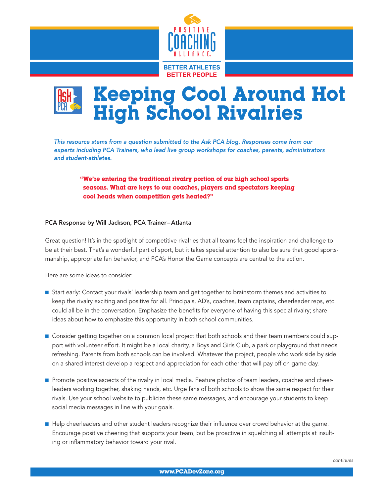



*This resource stems from a question submitted to the Ask PCA blog. Responses come from our experts including PCA Trainers, who lead live group workshops for coaches, parents, administrators and student-athletes.*

"We're entering the traditional rivalry portion of our high school sports seasons. What are keys to our coaches, players and spectators keeping cool heads when competition gets heated?"

## PCA Response by Will Jackson, PCA Trainer–Atlanta

Great question! It's in the spotlight of competitive rivalries that all teams feel the inspiration and challenge to be at their best. That's a wonderful part of sport, but it takes special attention to also be sure that good sportsmanship, appropriate fan behavior, and PCA's Honor the Game concepts are central to the action.

Here are some ideas to consider:

- Start early: Contact your rivals' leadership team and get together to brainstorm themes and activities to keep the rivalry exciting and positive for all. Principals, AD's, coaches, team captains, cheerleader reps, etc. could all be in the conversation. Emphasize the benefits for everyone of having this special rivalry; share ideas about how to emphasize this opportunity in both school communities.
- **n** Consider getting together on a common local project that both schools and their team members could support with volunteer effort. It might be a local charity, a Boys and Girls Club, a park or playground that needs refreshing. Parents from both schools can be involved. Whatever the project, people who work side by side on a shared interest develop a respect and appreciation for each other that will pay off on game day.
- **n** Promote positive aspects of the rivalry in local media. Feature photos of team leaders, coaches and cheerleaders working together, shaking hands, etc. Urge fans of both schools to show the same respect for their rivals. Use your school website to publicize these same messages, and encourage your students to keep social media messages in line with your goals.
- **n** Help cheerleaders and other student leaders recognize their influence over crowd behavior at the game. Encourage positive cheering that supports your team, but be proactive in squelching all attempts at insulting or inflammatory behavior toward your rival.